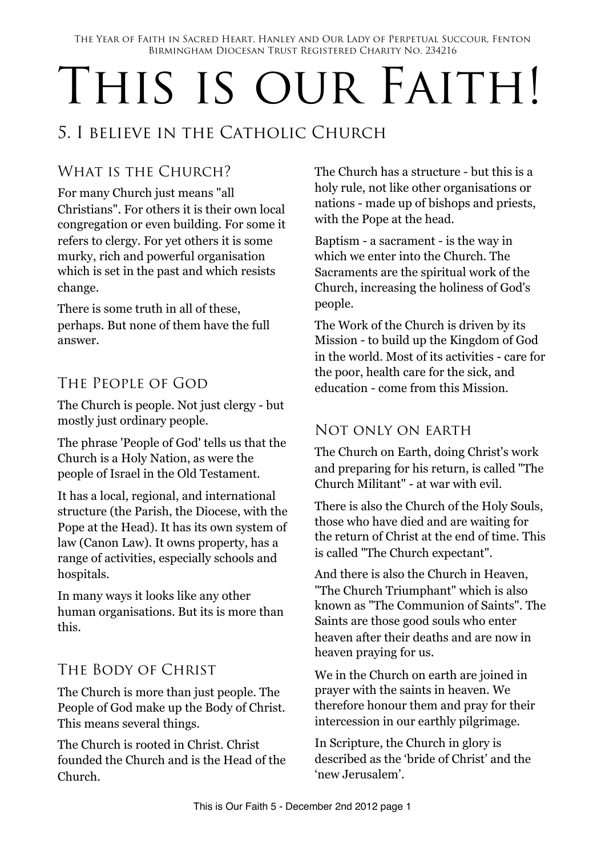# THIS IS OUR FAITH!

## 5. I believe in the Catholic Church

## WHAT IS THE CHURCH?

For many Church just means "all Christians". For others it is their own local congregation or even building. For some it refers to clergy. For yet others it is some murky, rich and powerful organisation which is set in the past and which resists change.

There is some truth in all of these, perhaps. But none of them have the full answer.

## THE PEOPLE OF GOD

The Church is people. Not just clergy - but mostly just ordinary people.

The phrase 'People of God' tells us that the Church is a Holy Nation, as were the people of Israel in the Old Testament.

It has a local, regional, and international structure (the Parish, the Diocese, with the Pope at the Head). It has its own system of law (Canon Law). It owns property, has a range of activities, especially schools and hospitals.

In many ways it looks like any other human organisations. But its is more than this.

## The Body of Christ

The Church is more than just people. The People of God make up the Body of Christ. This means several things.

The Church is rooted in Christ. Christ founded the Church and is the Head of the Church.

The Church has a structure - but this is a holy rule, not like other organisations or nations - made up of bishops and priests, with the Pope at the head.

Baptism - a sacrament - is the way in which we enter into the Church. The Sacraments are the spiritual work of the Church, increasing the holiness of God's people.

The Work of the Church is driven by its Mission - to build up the Kingdom of God in the world. Most of its activities - care for the poor, health care for the sick, and education - come from this Mission.

#### Not only on earth

The Church on Earth, doing Christ's work and preparing for his return, is called "The Church Militant" - at war with evil.

There is also the Church of the Holy Souls, those who have died and are waiting for the return of Christ at the end of time. This is called "The Church expectant".

And there is also the Church in Heaven, "The Church Triumphant" which is also known as "The Communion of Saints". The Saints are those good souls who enter heaven after their deaths and are now in heaven praying for us.

We in the Church on earth are joined in prayer with the saints in heaven. We therefore honour them and pray for their intercession in our earthly pilgrimage.

In Scripture, the Church in glory is described as the 'bride of Christ' and the 'new Jerusalem'.